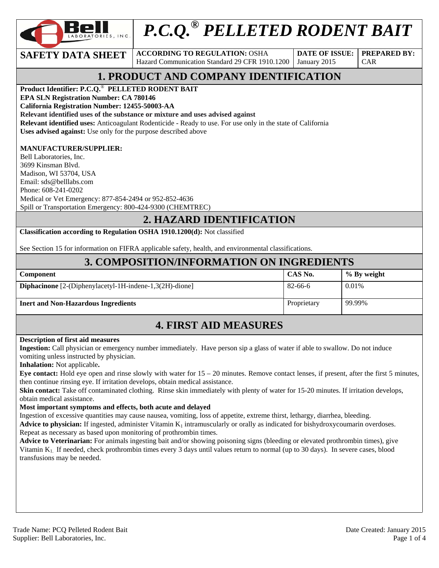

# *P.C.Q.® PELLETED RODENT BAIT*

**SAFETY DATA SHEET** ACCORDING TO REGULATION: OSHA Hazard Communication Standard 29 CFR 1910.1200

**DATE OF ISSUE:**  January 2015

**PREPARED BY:**  CAR

# **1. PRODUCT AND COMPANY IDENTIFICATION**

**Product Identifier: P.C.Q.**® **PELLETED RODENT BAIT** 

**EPA SLN Registration Number: CA 780146** 

**California Registration Number: 12455-50003-AA** 

**Relevant identified uses of the substance or mixture and uses advised against**

**Relevant identified uses:** Anticoagulant Rodenticide - Ready to use. For use only in the state of California **Uses advised against:** Use only for the purpose described above

#### **MANUFACTURER/SUPPLIER:**

Bell Laboratories, Inc. 3699 Kinsman Blvd. Madison, WI 53704, USA Email: sds@belllabs.com Phone: 608-241-0202 Medical or Vet Emergency: 877-854-2494 or 952-852-4636 Spill or Transportation Emergency: 800-424-9300 (CHEMTREC)

### **2. HAZARD IDENTIFICATION**

**Classification according to Regulation OSHA 1910.1200(d):** Not classified

See Section 15 for information on FIFRA applicable safety, health, and environmental classifications.

### **3. COMPOSITION/INFORMATION ON INGREDIENTS**

| Component                                                        | CAS No.     | % By weight |
|------------------------------------------------------------------|-------------|-------------|
| <b>Diphacinone</b> $[2-(Diphenylacetyl-1H-indene-1,3(2H)-dione]$ | 82-66-6     | 0.01%       |
| <b>Inert and Non-Hazardous Ingredients</b>                       | Proprietary | 99.99%      |

### **4. FIRST AID MEASURES**

#### **Description of first aid measures**

**Ingestion:** Call physician or emergency number immediately. Have person sip a glass of water if able to swallow. Do not induce vomiting unless instructed by physician.

**Inhalation:** Not applicable**.** 

**Eye contact:** Hold eye open and rinse slowly with water for 15 – 20 minutes. Remove contact lenses, if present, after the first 5 minutes, then continue rinsing eye. If irritation develops, obtain medical assistance.

**Skin contact:** Take off contaminated clothing. Rinse skin immediately with plenty of water for 15-20 minutes. If irritation develops, obtain medical assistance.

#### **Most important symptoms and effects, both acute and delayed**

Ingestion of excessive quantities may cause nausea, vomiting, loss of appetite, extreme thirst, lethargy, diarrhea, bleeding.

**Advice to physician:** If ingested, administer Vitamin  $K_1$  intramuscularly or orally as indicated for bishydroxycoumarin overdoses. Repeat as necessary as based upon monitoring of prothrombin times.

**Advice to Veterinarian:** For animals ingesting bait and/or showing poisoning signs (bleeding or elevated prothrombin times), give Vitamin K<sub>1</sub>. If needed, check prothrombin times every 3 days until values return to normal (up to 30 days). In severe cases, blood transfusions may be needed.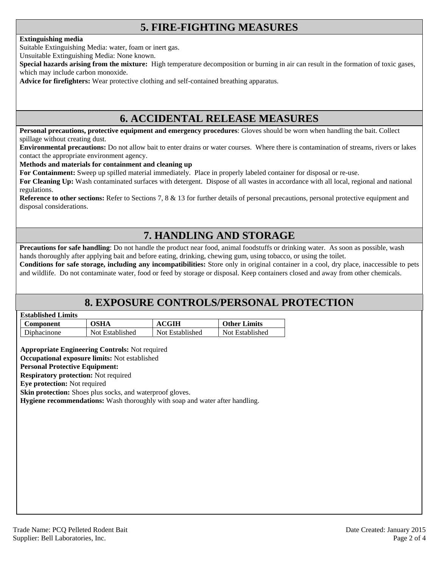### **5. FIRE-FIGHTING MEASURES**

#### **Extinguishing media**

Suitable Extinguishing Media: water, foam or inert gas.

Unsuitable Extinguishing Media: None known.

**Special hazards arising from the mixture:** High temperature decomposition or burning in air can result in the formation of toxic gases, which may include carbon monoxide.

**Advice for firefighters:** Wear protective clothing and self-contained breathing apparatus.

### **6. ACCIDENTAL RELEASE MEASURES**

**Personal precautions, protective equipment and emergency procedures**: Gloves should be worn when handling the bait. Collect spillage without creating dust.

**Environmental precautions:** Do not allow bait to enter drains or water courses. Where there is contamination of streams, rivers or lakes contact the appropriate environment agency.

#### **Methods and materials for containment and cleaning up**

**For Containment:** Sweep up spilled material immediately. Place in properly labeled container for disposal or re-use.

**For Cleaning Up:** Wash contaminated surfaces with detergent. Dispose of all wastes in accordance with all local, regional and national regulations.

**Reference to other sections:** Refer to Sections 7, 8 & 13 for further details of personal precautions, personal protective equipment and disposal considerations.

### **7. HANDLING AND STORAGE**

**Precautions for safe handling**: Do not handle the product near food, animal foodstuffs or drinking water. As soon as possible, wash hands thoroughly after applying bait and before eating, drinking, chewing gum, using tobacco, or using the toilet.

**Conditions for safe storage, including any incompatibilities:** Store only in original container in a cool, dry place, inaccessible to pets and wildlife. Do not contaminate water, food or feed by storage or disposal. Keep containers closed and away from other chemicals.

### **8. EXPOSURE CONTROLS/PERSONAL PROTECTION**

| <b>Established Limits</b> |  |
|---------------------------|--|
|                           |  |

| Component   | OSHA            | <b>ACGIH</b>    | <b>Other Limits</b> |
|-------------|-----------------|-----------------|---------------------|
| Diphacinone | Not Established | Not Established | Not Established     |

**Appropriate Engineering Controls:** Not required

**Occupational exposure limits:** Not established

#### **Personal Protective Equipment:**

**Respiratory protection:** Not required

**Eye protection:** Not required

**Skin protection:** Shoes plus socks, and waterproof gloves.

**Hygiene recommendations:** Wash thoroughly with soap and water after handling.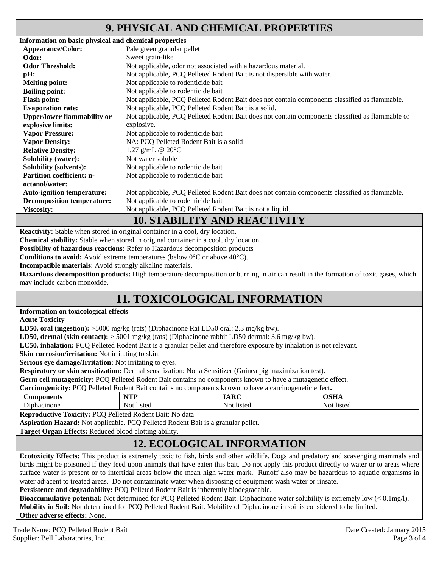### **9. PHYSICAL AND CHEMICAL PROPERTIES**

| Information on basic physical and chemical properties |                                                                                                 |
|-------------------------------------------------------|-------------------------------------------------------------------------------------------------|
| Appearance/Color:                                     | Pale green granular pellet                                                                      |
| Odor:                                                 | Sweet grain-like                                                                                |
| <b>Odor Threshold:</b>                                | Not applicable, odor not associated with a hazardous material.                                  |
| pH:                                                   | Not applicable, PCQ Pelleted Rodent Bait is not dispersible with water.                         |
| <b>Melting point:</b>                                 | Not applicable to rodenticide bait                                                              |
| <b>Boiling point:</b>                                 | Not applicable to rodenticide bait                                                              |
| <b>Flash point:</b>                                   | Not applicable, PCQ Pelleted Rodent Bait does not contain components classified as flammable.   |
| <b>Evaporation rate:</b>                              | Not applicable, PCQ Pelleted Rodent Bait is a solid.                                            |
| <b>Upper/lower flammability or</b>                    | Not applicable, PCQ Pelleted Rodent Bait does not contain components classified as flammable or |
| explosive limits:                                     | explosive.                                                                                      |
| <b>Vapor Pressure:</b>                                | Not applicable to rodenticide bait                                                              |
| <b>Vapor Density:</b>                                 | NA: PCQ Pelleted Rodent Bait is a solid                                                         |
| <b>Relative Density:</b>                              | 1.27 g/mL @ $20^{\circ}$ C                                                                      |
| <b>Solubility (water):</b>                            | Not water soluble                                                                               |
| <b>Solubility (solvents):</b>                         | Not applicable to rodenticide bait                                                              |
| <b>Partition coefficient: n-</b>                      | Not applicable to rodenticide bait                                                              |
| octanol/water:                                        |                                                                                                 |
| <b>Auto-ignition temperature:</b>                     | Not applicable, PCQ Pelleted Rodent Bait does not contain components classified as flammable.   |
| <b>Decomposition temperature:</b>                     | Not applicable to rodenticide bait                                                              |
| <b>Viscosity:</b>                                     | Not applicable, PCQ Pelleted Rodent Bait is not a liquid.                                       |
|                                                       | 10 CELDII IBY AND DE LOBITURI                                                                   |

### **10. STABILITY AND REACTIVITY**

**Reactivity:** Stable when stored in original container in a cool, dry location.

**Chemical stability:** Stable when stored in original container in a cool, dry location.

**Possibility of hazardous reactions:** Refer to Hazardous decomposition products

**Conditions to avoid:** Avoid extreme temperatures (below 0°C or above 40°C).

**Incompatible materials**: Avoid strongly alkaline materials.

**Hazardous decomposition products:** High temperature decomposition or burning in air can result in the formation of toxic gases, which may include carbon monoxide.

# **11. TOXICOLOGICAL INFORMATION**

#### **Information on toxicological effects**

**Acute Toxicity** 

**LD50, oral (ingestion):** >5000 mg/kg (rats) (Diphacinone Rat LD50 oral: 2.3 mg/kg bw).

**LD50, dermal (skin contact):** > 5001 mg/kg (rats) (Diphacinone rabbit LD50 dermal: 3.6 mg/kg bw).

**LC50, inhalation:** PCQ Pelleted Rodent Bait is a granular pellet and therefore exposure by inhalation is not relevant.

**Skin corrosion/irritation:** Not irritating to skin.

**Serious eye damage/Irritation:** Not irritating to eyes.

**Respiratory or skin sensitization:** Dermal sensitization: Not a Sensitizer (Guinea pig maximization test).

**Germ cell mutagenicity:** PCQ Pelleted Rodent Bait contains no components known to have a mutagenetic effect.

|  | Carcinogenicity: PCQ Pelleted Rodent Bait contains no components known to have a carcinogenetic effect. |  |
|--|---------------------------------------------------------------------------------------------------------|--|
|  |                                                                                                         |  |

| ^r<br>ын                         | wm<br>.             | $\mathbf{D}$  | $\sim$ $\sim$ $\sim$      |
|----------------------------------|---------------------|---------------|---------------------------|
| $\overline{\phantom{a}}$<br>none | $10+$<br>$N \cap t$ | NO.<br>listed | 1010C<br>115 W U<br>NU JI |

**Reproductive Toxicity:** PCQ Pelleted Rodent Bait: No data

**Aspiration Hazard:** Not applicable. PCQ Pelleted Rodent Bait is a granular pellet.

**Target Organ Effects:** Reduced blood clotting ability.

# **12. ECOLOGICAL INFORMATION**

**Ecotoxicity Effects:** This product is extremely toxic to fish, birds and other wildlife. Dogs and predatory and scavenging mammals and birds might be poisoned if they feed upon animals that have eaten this bait. Do not apply this product directly to water or to areas where surface water is present or to intertidal areas below the mean high water mark. Runoff also may be hazardous to aquatic organisms in water adjacent to treated areas. Do not contaminate water when disposing of equipment wash water or rinsate.

Persistence and degradability: PCQ Pelleted Rodent Bait is inherently biodegradable.

**Bioaccumulative potential:** Not determined for PCQ Pelleted Rodent Bait. Diphacinone water solubility is extremely low (< 0.1mg/l). **Mobility in Soil:** Not determined for PCQ Pelleted Rodent Bait. Mobility of Diphacinone in soil is considered to be limited. **Other adverse effects:** None.